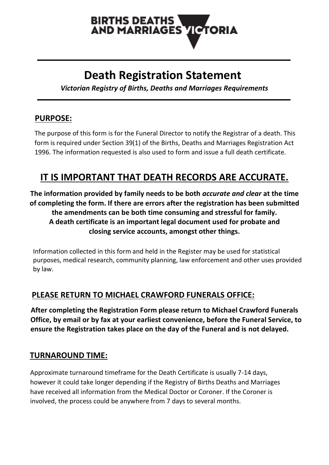# **BIRTHS DEATHS AND MARRIAGES VICTORIA**

# **Death Registration Statement**

*Victorian Registry of Births, Deaths and Marriages Requirements*

## **PURPOSE:**

 The purpose of this form is for the Funeral Director to notify the Registrar of a death. This form is required under Section 39(1) of the Births, Deaths and Marriages Registration Act 1996. The information requested is also used to form and issue a full death certificate.

# **IT IS IMPORTANT THAT DEATH RECORDS ARE ACCURATE.**

**The information provided by family needs to be both** *accurate and clear* **at the time of completing the form. If there are errors after the registration has been submitted the amendments can be both time consuming and stressful for family. A death certificate is an important legal document used for probate and closing service accounts, amongst other things.**

 Information collected in this form and held in the Register may be used for statistical purposes, medical research, community planning, law enforcement and other uses provided by law.

## **PLEASE RETURN TO MICHAEL CRAWFORD FUNERALS OFFICE:**

 **After completing the Registration Form please return to Michael Crawford Funerals Office, by email or by fax at your earliest convenience, before the Funeral Service, to ensure the Registration takes place on the day of the Funeral and is not delayed.**

### **TURNAROUND TIME:**

Approximate turnaround timeframe for the Death Certificate is usually 7-14 days, however it could take longer depending if the Registry of Births Deaths and Marriages have received all information from the Medical Doctor or Coroner. If the Coroner is involved, the process could be anywhere from 7 days to several months.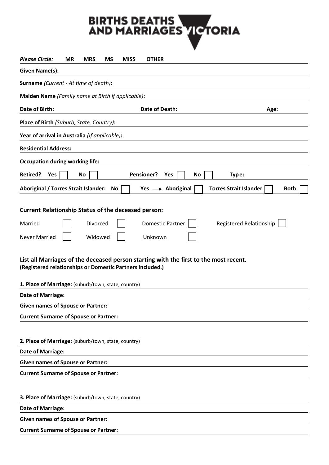# BIRTHS DEATHS<br>AND MARRIAGES VICTORIA

| <b>Please Circle:</b>                                                                                                                              | ΜR | <b>MRS</b> | <b>MS</b> | <b>MISS</b> | <b>OTHER</b>                 |     |    |                               |      |             |  |
|----------------------------------------------------------------------------------------------------------------------------------------------------|----|------------|-----------|-------------|------------------------------|-----|----|-------------------------------|------|-------------|--|
| <b>Given Name(s):</b>                                                                                                                              |    |            |           |             |                              |     |    |                               |      |             |  |
| Surname (Current - At time of death):                                                                                                              |    |            |           |             |                              |     |    |                               |      |             |  |
| Maiden Name (Family name at Birth if applicable):                                                                                                  |    |            |           |             |                              |     |    |                               |      |             |  |
| Date of Birth:                                                                                                                                     |    |            |           |             | <b>Date of Death:</b>        |     |    |                               | Age: |             |  |
| Place of Birth (Suburb, State, Country):                                                                                                           |    |            |           |             |                              |     |    |                               |      |             |  |
| Year of arrival in Australia (If applicable):                                                                                                      |    |            |           |             |                              |     |    |                               |      |             |  |
| <b>Residential Address:</b>                                                                                                                        |    |            |           |             |                              |     |    |                               |      |             |  |
| <b>Occupation during working life:</b>                                                                                                             |    |            |           |             |                              |     |    |                               |      |             |  |
| <b>Retired?</b><br>Yes                                                                                                                             |    | No         |           |             | <b>Pensioner?</b>            | Yes | No |                               |      |             |  |
|                                                                                                                                                    |    |            |           |             |                              |     |    | Type:                         |      |             |  |
| Aboriginal / Torres Strait Islander:                                                                                                               |    |            | No.       |             | Yes $\rightarrow$ Aboriginal |     |    | <b>Torres Strait Islander</b> |      | <b>Both</b> |  |
| <b>Current Relationship Status of the deceased person:</b>                                                                                         |    |            |           |             |                              |     |    |                               |      |             |  |
|                                                                                                                                                    |    |            |           |             |                              |     |    |                               |      |             |  |
| Married                                                                                                                                            |    | Divorced   |           |             | <b>Domestic Partner</b>      |     |    | Registered Relationship       |      |             |  |
| <b>Never Married</b>                                                                                                                               |    | Widowed    |           |             | Unknown                      |     |    |                               |      |             |  |
| List all Marriages of the deceased person starting with the first to the most recent.<br>(Registered relationships or Domestic Partners included.) |    |            |           |             |                              |     |    |                               |      |             |  |
|                                                                                                                                                    |    |            |           |             |                              |     |    |                               |      |             |  |
| 1. Place of Marriage: (suburb/town, state, country)                                                                                                |    |            |           |             |                              |     |    |                               |      |             |  |
| <b>Date of Marriage:</b>                                                                                                                           |    |            |           |             |                              |     |    |                               |      |             |  |
| <b>Given names of Spouse or Partner:</b>                                                                                                           |    |            |           |             |                              |     |    |                               |      |             |  |
| <b>Current Surname of Spouse or Partner:</b>                                                                                                       |    |            |           |             |                              |     |    |                               |      |             |  |
|                                                                                                                                                    |    |            |           |             |                              |     |    |                               |      |             |  |
| 2. Place of Marriage: (suburb/town, state, country)                                                                                                |    |            |           |             |                              |     |    |                               |      |             |  |
| <b>Date of Marriage:</b>                                                                                                                           |    |            |           |             |                              |     |    |                               |      |             |  |
| <b>Given names of Spouse or Partner:</b>                                                                                                           |    |            |           |             |                              |     |    |                               |      |             |  |
| <b>Current Surname of Spouse or Partner:</b>                                                                                                       |    |            |           |             |                              |     |    |                               |      |             |  |
|                                                                                                                                                    |    |            |           |             |                              |     |    |                               |      |             |  |
| 3. Place of Marriage: (suburb/town, state, country)                                                                                                |    |            |           |             |                              |     |    |                               |      |             |  |
| Date of Marriage:                                                                                                                                  |    |            |           |             |                              |     |    |                               |      |             |  |
| <b>Given names of Spouse or Partner:</b>                                                                                                           |    |            |           |             |                              |     |    |                               |      |             |  |
| <b>Current Surname of Spouse or Partner:</b>                                                                                                       |    |            |           |             |                              |     |    |                               |      |             |  |